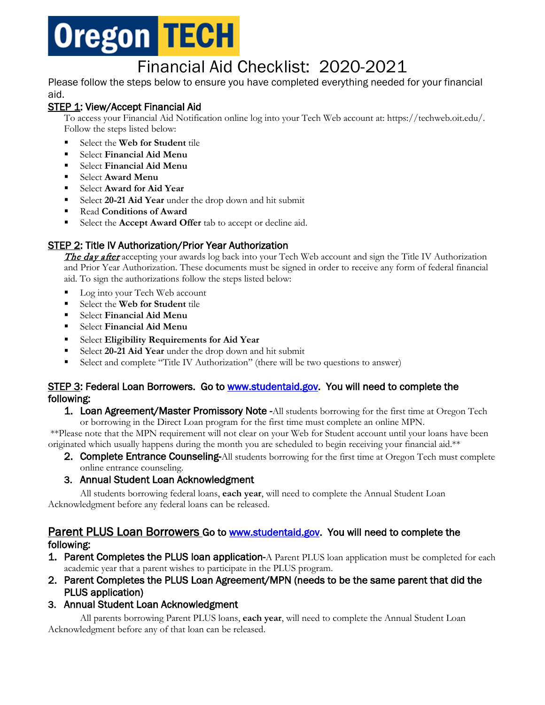

# Financial Aid Checklist: 2020-2021

Please follow the steps below to ensure you have completed everything needed for your financial aid.

## STEP 1: View/Accept Financial Aid

To access your Financial Aid Notification online log into your Tech Web account at: https://techweb.oit.edu/. Follow the steps listed below:

- **Select the Web for Student tile**
- Select **Financial Aid Menu**
- Select **Financial Aid Menu**
- Select **Award Menu**
- Select **Award for Aid Year**
- Select **20-21 Aid Year** under the drop down and hit submit
- Read **Conditions of Award**
- Select the **Accept Award Offer** tab to accept or decline aid.

## STEP 2: Title IV Authorization/Prior Year Authorization

The day after accepting your awards log back into your Tech Web account and sign the Title IV Authorization and Prior Year Authorization. These documents must be signed in order to receive any form of federal financial aid. To sign the authorizations follow the steps listed below:

- Log into your Tech Web account
- Select the **Web for Student** tile
- Select **Financial Aid Menu**
- Select **Financial Aid Menu**
- Select **Eligibility Requirements for Aid Year**
- Select **20-21 Aid Year** under the drop down and hit submit
- Select and complete "Title IV Authorization" (there will be two questions to answer)

## STEP 3: Federal Loan Borrowers. Go to [www.studentaid.gov.](http://www.studentaid.gov/) You will need to complete the following:

**1. Loan Agreement/Master Promissory Note -All students borrowing for the first time at Oregon Tech** or borrowing in the Direct Loan program for the first time must complete an online MPN.

\*\*Please note that the MPN requirement will not clear on your Web for Student account until your loans have been originated which usually happens during the month you are scheduled to begin receiving your financial aid.\*\*

2. Complete Entrance Counseling-All students borrowing for the first time at Oregon Tech must complete online entrance counseling.

## 3. Annual Student Loan Acknowledgment

All students borrowing federal loans, **each year**, will need to complete the Annual Student Loan Acknowledgment before any federal loans can be released.

## Parent PLUS Loan Borrowers Go to [www.studentaid.gov.](http://www.studentaid.gov/) You will need to complete the **following:**<br>**1. Parent Completes the PLUS loan application-**A Parent PLUS loan application must be completed for each

- academic year that a parent wishes to participate in the PLUS program.
- 2. Parent Completes the PLUS Loan Agreement/MPN (needs to be the same parent that did the PLUS application)

## 3. Annual Student Loan Acknowledgment

All parents borrowing Parent PLUS loans, **each year**, will need to complete the Annual Student Loan Acknowledgment before any of that loan can be released.